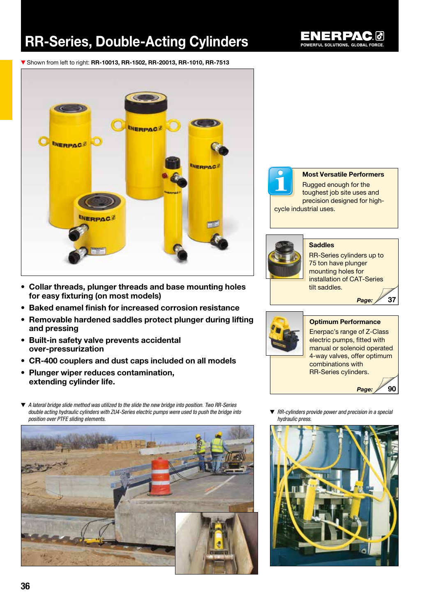# RR-Series, Double-Acting Cylinders



▼ Shown from left to right: RR-10013, RR-1502, RR-20013, RR-1010, RR-7513



- Collar threads, plunger threads and base mounting holes for easy fixturing (on most models)
- Baked enamel finish for increased corrosion resistance
- Removable hardened saddles protect plunger during lifting and pressing
- Built-in safety valve prevents accidental over-pressurization
- CR-400 couplers and dust caps included on all models
- Plunger wiper reduces contamination, extending cylinder life.
- ▼ *A lateral bridge slide method was utilized to the slide the new bridge into position. Two RR-Series double acting hydraulic cylinders with ZU4-Series electric pumps were used to push the bridge into position over PTFE sliding elements.*





#### Most Versatile Performers

Rugged enough for the toughest job site uses and precision designed for highcycle industrial uses.



#### **Saddles**

RR-Series cylinders up to 75 ton have plunger mounting holes for installation of CAT-Series tilt saddles. *Page:*



#### Optimum Performance Enerpac's range of Z-Class electric pumps, fitted with manual or solenoid operated 4-way valves, offer optimum combinations with RR-Series cylinders.

*Page:*

90

37

▼ *RR-cylinders provide power and precision in a special hydraulic press.*

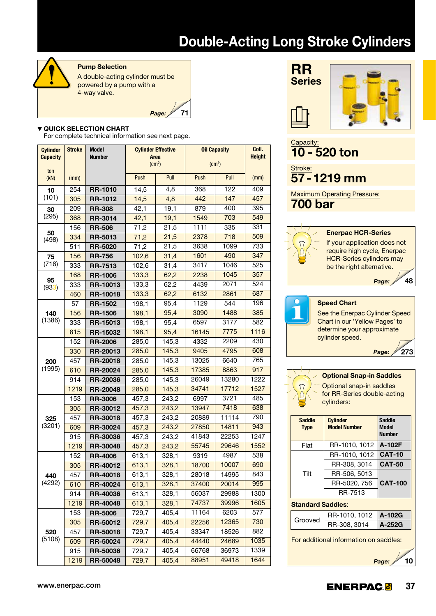# Double-Acting Long Stroke Cylinders



#### Pump Selection

A double-acting cylinder must be powered by a pump with a 4-way valve.

71

*Page:*

#### ▼ QUICK SELECTION CHART

For complete technical information see next page.

| <b>Cylinder</b> | <b>Stroke</b> | <b>Model</b><br><b>Number</b> |       | <b>Cylinder Effective</b><br>Area | <b>Oil Capacity</b> | Coll.<br><b>Height</b> |      |
|-----------------|---------------|-------------------------------|-------|-----------------------------------|---------------------|------------------------|------|
| <b>Capacity</b> |               |                               |       | (cm <sup>2</sup> )                | (cm <sup>3</sup> )  |                        |      |
| ton<br>(KN)     | (mm)          |                               | Push  | Pull                              | Push                | Pull                   | (mm) |
| 10              | 254           | <b>RR-1010</b>                | 14,5  | 4,8                               | 368                 | 122                    | 409  |
| (101)           | 305           | <b>RR-1012</b>                | 14,5  | 4,8                               | 442                 | 147                    | 457  |
| 30              | 209           | <b>RR-308</b>                 | 42,1  | 19,1                              | 879                 | 400                    | 395  |
| (295)           | 368           | <b>RR-3014</b>                | 42,1  | 19,1                              | 1549                | 703                    | 549  |
|                 | 156           | <b>RR-506</b>                 | 71,2  | 21,5                              | 1111                | 335                    | 331  |
| 50<br>(498)     | 334           | <b>RR-5013</b>                | 71,2  | 21,5                              | 2378                | 718                    | 509  |
|                 | 511           | <b>RR-5020</b>                | 71,2  | 21,5                              | 3638                | 1099                   | 733  |
| 75              | 156           | <b>RR-756</b>                 | 102,6 | 31,4                              | 1601                | 490                    | 347  |
| (718)           | 333           | <b>RR-7513</b>                | 102,6 | 31,4                              | 3417                | 1046                   | 525  |
|                 | 168           | <b>RR-1006</b>                | 133,3 | 62,2                              | 2238                | 1045                   | 357  |
| 95<br>(933)     | 333           | <b>RR-10013</b>               | 133,3 | 62,2                              | 4439                | 2071                   | 524  |
|                 | 460           | <b>RR-10018</b>               | 133,3 | 62,2                              | 6132                | 2861                   | 687  |
|                 | 57            | <b>RR-1502</b>                | 198,1 | 95,4                              | 1129                | 544                    | 196  |
| 140             | 156           | <b>RR-1506</b>                | 198,1 | 95,4                              | 3090                | 1488                   | 385  |
| (1386)          | 333           | RR-15013                      | 198,1 | 95,4                              | 6597                | 3177                   | 582  |
|                 | 815           | <b>RR-15032</b>               | 198,1 | 95,4                              | 16145               | 7775                   | 1116 |
| 200<br>(1995)   | 152           | <b>RR-2006</b>                | 285,0 | 145,3                             | 4332                | 2209                   | 430  |
|                 | 330           | <b>RR-20013</b>               | 285,0 | 145,3                             | 9405                | 4795                   | 608  |
|                 | 457           | <b>RR-20018</b>               | 285,0 | 145,3                             | 13025               | 6640                   | 765  |
|                 | 610           | <b>RR-20024</b>               | 285,0 | 145,3                             | 17385               | 8863                   | 917  |
|                 | 914           | <b>RR-20036</b>               | 285,0 | 145,3                             | 26049               | 13280                  | 1222 |
|                 | 1219          | <b>RR-20048</b>               | 285,0 | 145,3                             | 34741               | 17712                  | 1527 |
|                 | 153           | <b>RR-3006</b>                | 457,3 | 243,2                             | 6997                | 3721                   | 485  |
|                 | 305           | <b>RR-30012</b>               | 457,3 | 243,2                             | 13947               | 7418                   | 638  |
| 325             | 457           | <b>RR-30018</b>               | 457,3 | 243,2                             | 20889               | 11114                  | 790  |
| (3201)          | 609           | RR-30024                      | 457,3 | 243,2                             | 27850               | 14811                  | 943  |
|                 | 915           | <b>RR-30036</b>               | 457,3 | 243,2                             | 41843               | 22253                  | 1247 |
|                 | 1219          | <b>RR-30048</b>               | 457,3 | 243,2                             | 55745               | 29646                  | 1552 |
|                 | 152           | <b>RR-4006</b>                | 613,1 | 328,1                             | 9319                | 4987                   | 538  |
|                 | 305           | RR-40012                      | 613,1 | 328,1                             | 18700               | 10007                  | 690  |
| 440             | 457           | <b>RR-40018</b>               | 613,1 | 328,1                             | 28018               | 14995                  | 843  |
| (4292)          | 610           | <b>RR-40024</b>               | 613,1 | 328,1                             | 37400               | 20014                  | 995  |
|                 | 914           | <b>RR-40036</b>               | 613,1 | 328,1                             | 56037               | 29988                  | 1300 |
|                 | 1219          | <b>RR-40048</b>               | 613,1 | 328,1                             | 74737               | 39996                  | 1605 |
|                 | 153           | <b>RR-5006</b>                | 729,7 | 405,4                             | 11164               | 6203                   | 577  |
|                 | 305           | RR-50012                      | 729,7 | 405,4                             | 22256               | 12365                  | 730  |
| 520             | 457           | <b>RR-50018</b>               | 729,7 | 405,4                             | 33347               | 18526                  | 882  |
| (5108)          | 609           | RR-50024                      | 729,7 | 405,4                             | 44440               | 24689                  | 1035 |
|                 | 915           | RR-50036                      | 729,7 | 405,4                             | 66768               | 36973                  | 1339 |
|                 | 1219          | RR-50048                      | 729,7 | 405,4                             | 88951               | 49418                  | 1644 |





### 48 Capacity: 10 - 520 ton Stroke: 57-1219 mm Maximum Operating Pressure: 700 bar Enerpac HCR-Series If your application does not require high cycle, Enerpac HCR-Series cylinders may be the right alternative. *Page:* Speed Chart See the Enerpac Cylinder Speed

Chart in our 'Yellow Pages' to determine your approximate cylinder speed.

> 273 *Page:*



Optional Snap-in Saddles Optional snap-in saddles for RR-Series double-acting cylinders:

| <b>Saddle</b><br><b>Type</b> | <b>Cylinder</b><br><b>Model Number</b> | <b>Saddle</b><br><b>Model</b><br><b>Number</b> |  |  |  |  |  |
|------------------------------|----------------------------------------|------------------------------------------------|--|--|--|--|--|
| Flat                         | RR-1010, 1012                          | A-102F                                         |  |  |  |  |  |
|                              | RR-1010, 1012                          | <b>CAT-10</b>                                  |  |  |  |  |  |
|                              | RR-308, 3014                           | <b>CAT-50</b>                                  |  |  |  |  |  |
| Tilt                         | RR-506, 5013                           |                                                |  |  |  |  |  |
|                              | RR-5020, 756                           | <b>CAT-100</b>                                 |  |  |  |  |  |
|                              | RR-7513                                |                                                |  |  |  |  |  |
| <b>Standard Saddles:</b>     |                                        |                                                |  |  |  |  |  |
|                              |                                        |                                                |  |  |  |  |  |

| Grooved | RR-1010, 1012   A-102G |        |  |  |
|---------|------------------------|--------|--|--|
|         | RR-308, 3014           | A-252G |  |  |

For additional information on saddles:

10 *Page:*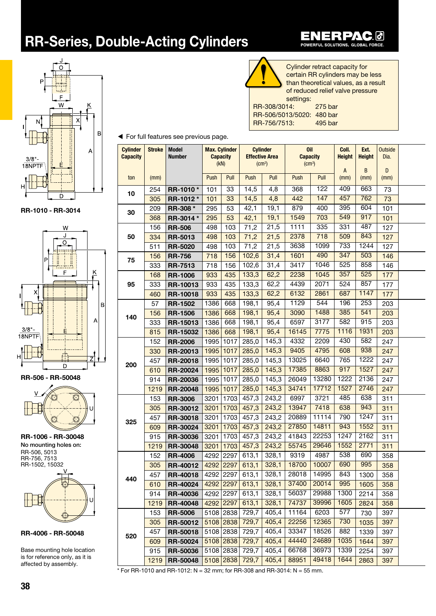## RR-Series, Double-Acting Cylinders



RR-1010 - RR-3014



RR-506 - RR-50048



RR-1006 - RR-30048 RR-506, 5013 RR-756, 7513 RR-1502, 15032 No mounting holes on:



RR-4006 - RR-50048

Base mounting hole location is for reference only, as it is affected by assembly.

| $rac{c}{t}$    |
|----------------|
|                |
| of             |
| S <sub>6</sub> |
|                |

o.

Cylinder retract capacity for ertain RR cylinders may be less an theoretical values, as a result f reduced relief valve pressure ettinas: RR-308/3014: 275 bar RR-506/5013/5020: 480 bar RR-756/7513: 495 bar

RPAC 0

EN

 $\blacksquare$ 

POWERFUL SOLUTIONS. GLOBAL FORCE.

◀ For full features see previous page.

| <b>Cylinder</b><br><b>Capacity</b> | <b>Stroke</b> | <b>Model</b><br><b>Number</b> |           | <b>Max. Cylinder</b><br><b>Capacity</b><br>(KN) | <b>Cylinder</b><br><b>Effective Area</b> | $\text{(cm}^2)$ | <b>Oil</b><br><b>Capacity</b> |       | Coll.<br><b>Height</b> |      | Outside<br>Dia. |  |
|------------------------------------|---------------|-------------------------------|-----------|-------------------------------------------------|------------------------------------------|-----------------|-------------------------------|-------|------------------------|------|-----------------|--|
|                                    |               |                               |           |                                                 |                                          |                 | $\text{(cm}^3\text{)}$        |       | A                      | B    | D               |  |
| ton                                | (mm)          |                               | Push      | Pull                                            | Push                                     | Pull            | Push                          | Pull  | (mm)                   | (mm) | (mm)            |  |
| 10                                 | 254           | RR-1010*                      | 101       | 33                                              | 14,5                                     | 4,8             | 368                           | 122   | 409                    | 663  | 73              |  |
|                                    | 305           | RR-1012*                      | 101       | 33                                              | 14,5                                     | 4,8             | 442                           | 147   | 457                    | 762  | 73              |  |
| 30                                 | 209           | RR-308 *                      | 295       | 53                                              | 42,1                                     | 19,1            | 879                           | 400   | 395                    | 604  | 101             |  |
|                                    | 368           | RR-3014 *                     | 295       | 53                                              | 42,1                                     | 19,1            | 1549                          | 703   | 549                    | 917  | 101             |  |
|                                    | 156           | <b>RR-506</b>                 | 498       | 103                                             | 71,2                                     | 21,5            | 1111                          | 335   | 331                    | 487  | 127             |  |
| 50                                 | 334           | <b>RR-5013</b>                | 498       | 103                                             | 71,2                                     | 21,5            | 2378                          | 718   | 509                    | 843  | 127             |  |
|                                    | 511           | <b>RR-5020</b>                | 498       | 103                                             | 71,2                                     | 21,5            | 3638                          | 1099  | 733                    | 1244 | 127             |  |
| 75                                 | 156           | <b>RR-756</b>                 | 718       | 156                                             | 102,6                                    | 31,4            | 1601                          | 490   | 347                    | 503  | 146             |  |
|                                    | 333           | <b>RR-7513</b>                | 718       | 156                                             | 102,6                                    | 31,4            | 3417                          | 1046  | 525                    | 858  | 146             |  |
|                                    | 168           | <b>RR-1006</b>                | 933       | 435                                             | 133,3                                    | 62,2            | 2238                          | 1045  | 357                    | 525  | 177             |  |
| 95                                 | 333           | RR-10013                      | 933       | 435                                             | 133,3                                    | 62,2            | 4439                          | 2071  | 524                    | 857  | 177             |  |
|                                    | 460           | RR-10018                      | 933       | 435                                             | 133,3                                    | 62,2            | 6132                          | 2861  | 687                    | 1147 | 177             |  |
|                                    | 57            | <b>RR-1502</b>                | 1386      | 668                                             | 198,1                                    | 95,4            | 1129                          | 544   | 196                    | 253  | 203             |  |
| 140                                | 156           | <b>RR-1506</b>                | 1386      | 668                                             | 198,1                                    | 95,4            | 3090                          | 1488  | 385                    | 541  | 203             |  |
|                                    | 333           | RR-15013                      | 1386      | 668                                             | 198,1                                    | 95,4            | 6597                          | 3177  | 582                    | 915  | 203             |  |
|                                    | 815           | <b>RR-15032</b>               | 1386      | 668                                             | 198,1                                    | 95,4            | 16145                         | 7775  | 1116                   | 1931 | 203             |  |
| 200                                | 152           | <b>RR-2006</b>                | 1995      | 1017                                            | 285,0                                    | 145,3           | 4332                          | 2209  | 430                    | 582  | 247             |  |
|                                    | 330           | RR-20013                      | 1995      | 1017                                            | 285,0                                    | 145,3           | 9405                          | 4795  | 608                    | 938  | 247             |  |
|                                    | 457           | RR-20018                      | 1995      | 1017                                            | 285,0                                    | 145,3           | 13025                         | 6640  | 765                    | 1222 | 247             |  |
|                                    | 610           | <b>RR-20024</b>               | 1995      | 1017                                            | 285,0                                    | 145,3           | 17385                         | 8863  | 917                    | 1527 | 247             |  |
|                                    | 914           | <b>RR-20036</b>               | 1995      | 1017                                            | 285,0                                    | 145,3           | 26049                         | 13280 | 1222                   | 2136 | 247             |  |
|                                    | 1219          | <b>RR-20048</b>               | 1995      | 1017                                            | 285,0                                    | 145,3           | 34741                         | 17712 | 1527                   | 2746 | 247             |  |
|                                    | 153           | <b>RR-3006</b>                | 3201      | 1703                                            | 457,3                                    | 243,2           | 6997                          | 3721  | 485                    | 638  | 311             |  |
|                                    | 305           | RR-30012                      | 3201      | 1703                                            | 457,3                                    | 243,2           | 13947                         | 7418  | 638                    | 943  | 311             |  |
| 325                                | 457           | RR-30018                      | 3201      | 1703                                            | 457,3                                    | 243,2           | 20889                         | 11114 | 790                    | 1247 | 311             |  |
|                                    | 609           | RR-30024                      | 3201      | 1703                                            | 457,3                                    | 243,2           | 27850                         | 14811 | 943                    | 1552 | 311             |  |
|                                    | 915           | RR-30036                      | 3201      | 1703                                            | 457,3                                    | 243,2           | 41843                         | 22253 | 1247                   | 2162 | 311             |  |
|                                    | 1219          | RR-30048                      | 3201      | 1703                                            | 457,3                                    | 243,2           | 55745                         | 29646 | 1552                   | 2771 | 311             |  |
|                                    | 152           | <b>RR-4006</b>                | 4292      | 2297                                            | 613,1                                    | 328,1           | 9319                          | 4987  | 538                    | 690  | 358             |  |
|                                    | 305           | RR-40012                      |           | 4292 2297                                       | 613,1                                    | 328,1           | 18700                         | 10007 | 690                    | 995  | 358             |  |
| 440                                | 457           | <b>RR-40018</b>               |           |                                                 | 4292 2297 613,1                          | 328,1           | 28018                         | 14995 | 843                    | 1300 | 358             |  |
|                                    | 610           | <b>RR-40024</b>               |           | 4292 2297                                       | 613,1                                    | 328,1           | 37400                         | 20014 | 995                    | 1605 | 358             |  |
|                                    | 914           | <b>RR-40036</b>               | 4292 2297 |                                                 | 613,1                                    | 328,1           | 56037                         | 29988 | 1300                   | 2214 | 358             |  |
|                                    | 1219          | <b>RR-40048</b>               | 4292 2297 |                                                 | 613,1                                    | 328,1           | 74737                         | 39996 | 1605                   | 2824 | 358             |  |
|                                    | 153           | <b>RR-5006</b>                |           | 5108 2838                                       | 729,7                                    | 405,4           | 11164                         | 6203  | 577                    | 730  | 397             |  |
|                                    | 305           | <b>RR-50012</b>               | 5108      | 2838                                            | 729,7                                    | 405,4           | 22256                         | 12365 | 730                    | 1035 | 397             |  |
| 520                                | 457           | RR-50018                      |           | 5108 2838                                       | 729,7                                    | 405,4           | 33347                         | 18526 | 882                    | 1339 | 397             |  |
|                                    | 609           | RR-50024                      | 5108      | 2838                                            | 729,7                                    | 405,4           | 44440                         | 24689 | 1035                   | 1644 | 397             |  |
|                                    | 915           | <b>RR-50036</b>               |           | 5108 2838                                       | 729,7                                    | 405,4           | 66768                         | 36973 | 1339                   | 2254 | 397             |  |
|                                    | 1219          | <b>RR-50048</b>               |           | 5108 2838                                       | 729,7                                    | 405,4           | 88951                         | 49418 | 1644                   | 2863 | 397             |  |

 $*$  For RR-1010 and RR-1012: N = 32 mm; for RR-308 and RR-3014: N = 55 mm.